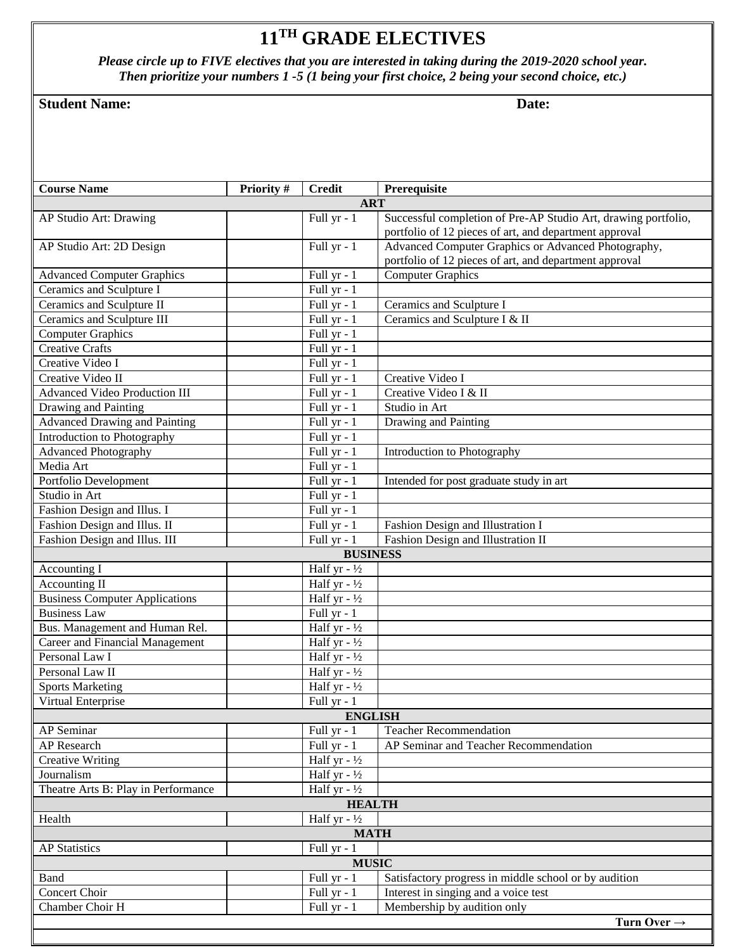## **11 TH GRADE ELECTIVES**

*Please circle up to FIVE electives that you are interested in taking during the 2019-2020 school year. Then prioritize your numbers 1 -5 (1 being your first choice, 2 being your second choice, etc.)*

## **Student Name:** Date: Date:

| <b>Course Name</b>                    | Priority #<br><b>Credit</b> | Prerequisite                                                   |  |  |
|---------------------------------------|-----------------------------|----------------------------------------------------------------|--|--|
|                                       |                             | <b>ART</b>                                                     |  |  |
| AP Studio Art: Drawing                | Full yr - 1                 | Successful completion of Pre-AP Studio Art, drawing portfolio, |  |  |
|                                       |                             | portfolio of 12 pieces of art, and department approval         |  |  |
| AP Studio Art: 2D Design              | Full yr - 1                 | Advanced Computer Graphics or Advanced Photography,            |  |  |
|                                       |                             | portfolio of 12 pieces of art, and department approval         |  |  |
| <b>Advanced Computer Graphics</b>     | Full yr - 1                 | <b>Computer Graphics</b>                                       |  |  |
| Ceramics and Sculpture I              | Full yr - 1                 |                                                                |  |  |
| Ceramics and Sculpture II             | Full yr - 1                 | Ceramics and Sculpture I                                       |  |  |
| Ceramics and Sculpture III            | Full yr - 1                 | Ceramics and Sculpture I & II                                  |  |  |
| <b>Computer Graphics</b>              | Full yr - 1                 |                                                                |  |  |
| <b>Creative Crafts</b>                | Full yr - 1                 |                                                                |  |  |
| Creative Video I                      | Full yr - 1                 |                                                                |  |  |
| Creative Video II                     | Full yr - 1                 | Creative Video I                                               |  |  |
| <b>Advanced Video Production III</b>  | Full yr - 1                 | Creative Video I & II                                          |  |  |
| Drawing and Painting                  | Full yr - 1                 | Studio in Art                                                  |  |  |
| <b>Advanced Drawing and Painting</b>  | Full yr - 1                 | Drawing and Painting                                           |  |  |
| <b>Introduction to Photography</b>    | Full yr - 1                 |                                                                |  |  |
| <b>Advanced Photography</b>           | Full yr - 1                 | Introduction to Photography                                    |  |  |
| Media Art                             | Full yr - 1                 |                                                                |  |  |
| Portfolio Development                 | Full yr - 1                 | Intended for post graduate study in art                        |  |  |
| Studio in Art                         | Full yr - 1                 |                                                                |  |  |
| Fashion Design and Illus. I           | Full yr - 1                 |                                                                |  |  |
| Fashion Design and Illus. II          | Full yr - 1                 | Fashion Design and Illustration I                              |  |  |
| Fashion Design and Illus. III         | Full yr $-1$                | Fashion Design and Illustration II                             |  |  |
| <b>BUSINESS</b>                       |                             |                                                                |  |  |
| Accounting I                          | Half yr $-1/2$              |                                                                |  |  |
| Accounting II                         | Half yr - $\frac{1}{2}$     |                                                                |  |  |
| <b>Business Computer Applications</b> | Half yr - $\frac{1}{2}$     |                                                                |  |  |
| <b>Business Law</b>                   | Full yr - 1                 |                                                                |  |  |
| Bus. Management and Human Rel.        | Half yr $-1/2$              |                                                                |  |  |
| Career and Financial Management       | Half yr $-1/2$              |                                                                |  |  |
| Personal Law I                        | Half yr $-1/2$              |                                                                |  |  |
| Personal Law <sub>II</sub>            | Half yr $-1/2$              |                                                                |  |  |
| <b>Sports Marketing</b>               | Half yr $-1/2$              |                                                                |  |  |
| Virtual Enterprise                    | Full yr - 1                 |                                                                |  |  |
| <b>ENGLISH</b>                        |                             |                                                                |  |  |
| AP Seminar                            | Full yr - 1                 | <b>Teacher Recommendation</b>                                  |  |  |
| <b>AP</b> Research                    | Full yr - 1                 | AP Seminar and Teacher Recommendation                          |  |  |
| <b>Creative Writing</b>               | Half yr $-1/2$              |                                                                |  |  |
| Journalism                            | Half yr $-1/2$              |                                                                |  |  |
| Theatre Arts B: Play in Performance   | Half yr $-1/2$              |                                                                |  |  |
| <b>HEALTH</b>                         |                             |                                                                |  |  |
| Health                                | Half yr $-1/2$              |                                                                |  |  |
|                                       |                             | <b>MATH</b>                                                    |  |  |
| <b>AP Statistics</b><br>Full yr - 1   |                             |                                                                |  |  |
| <b>MUSIC</b>                          |                             |                                                                |  |  |
| <b>Band</b>                           | Full yr - 1                 | Satisfactory progress in middle school or by audition          |  |  |
| Concert Choir                         | Full yr - 1                 | Interest in singing and a voice test                           |  |  |
| Chamber Choir H                       | Full yr - 1                 | Membership by audition only                                    |  |  |
|                                       |                             | Turn Over $\rightarrow$                                        |  |  |